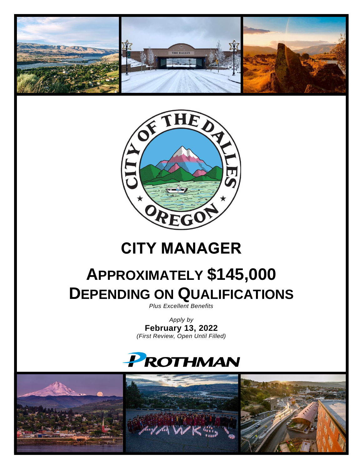



# **CITY MANAGER**

# **APPROXIMATELY \$145,000 DEPENDING ON QUALIFICATIONS**

*Plus Excellent Benefits*

*Apply by* **February 13, 2022** *(First Review, Open Until Filled)*

# PROTHMAN

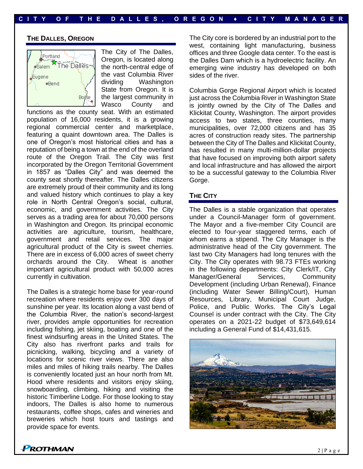#### **THE DALLES, OREGON**



The City of The Dalles, Oregon, is located along the north-central edge of the vast Columbia River dividing Washington State from Oregon. It is the largest community in Wasco County and

functions as the county seat. With an estimated population of 16,000 residents, it is a growing regional commercial center and marketplace, featuring a quaint downtown area. The Dalles is one of Oregon's most historical cities and has a reputation of being a town at the end of the overland route of the Oregon Trail. The City was first incorporated by the Oregon Territorial Government in 1857 as "Dalles City" and was deemed the county seat shortly thereafter. The Dalles citizens are extremely proud of their community and its long and valued history which continues to play a key role in North Central Oregon's social, cultural, economic, and government activities. The City serves as a trading area for about 70,000 persons in Washington and Oregon. Its principal economic activities are agriculture, tourism, healthcare, government and retail services. The major agricultural product of the City is sweet cherries. There are in excess of 6,000 acres of sweet cherry orchards around the City. Wheat is another important agricultural product with 50,000 acres currently in cultivation.

The Dalles is a strategic home base for year-round recreation where residents enjoy over 300 days of sunshine per year. Its location along a vast bend of the Columbia River, the nation's second-largest river, provides ample opportunities for recreation including fishing, jet skiing, boating and one of the finest windsurfing areas in the United States. The City also has riverfront parks and trails for picnicking, walking, bicycling and a variety of locations for scenic river views. There are also miles and miles of hiking trails nearby. The Dalles is conveniently located just an hour north from Mt. Hood where residents and visitors enjoy skiing, snowboarding, climbing, hiking and visiting the historic Timberline Lodge. For those looking to stay indoors, The Dalles is also home to numerous restaurants, coffee shops, cafes and wineries and breweries which host tours and tastings and provide space for events.

The City core is bordered by an industrial port to the west, containing light manufacturing, business offices and three Google data center. To the east is the Dalles Dam which is a hydroelectric facility. An emerging wine industry has developed on both sides of the river.

Columbia Gorge Regional Airport which is located just across the Columbia River in Washington State is jointly owned by the City of The Dalles and Klickitat County, Washington. The airport provides access to two states, three counties, many municipalities, over 72,000 citizens and has 35 acres of construction ready sites. The partnership between the City of The Dalles and Klickitat County, has resulted in many multi-million-dollar projects that have focused on improving both airport safety and local infrastructure and has allowed the airport to be a successful gateway to the Columbia River Gorge.

### **THE CITY**

The Dalles is a stable organization that operates under a Council-Manager form of government. The Mayor and a five-member City Council are elected to four-year staggered terms, each of whom earns a stipend. The City Manager is the administrative head of the City government. The last two City Managers had long tenures with the City. The City operates with 98.73 FTEs working in the following departments: City Clerk/IT, City Manager/General Services, Community Development (including Urban Renewal), Finance (including Water Sewer Billing/Court), Human Resources, Library, Municipal Court Judge, Police, and Public Works. The City's Legal Counsel is under contract with the City. The City operates on a 2021-22 budget of \$73,649,614 including a General Fund of \$14,431,615.

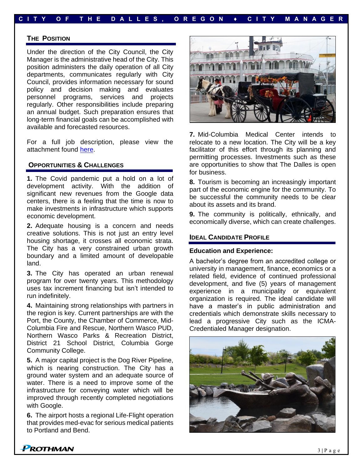## **C I T Y O F T H E D A L L E S , O R E G O N ♦ C I T Y M A N A G E R**

#### **THE POSITION**

Under the direction of the City Council, the City Manager is the administrative head of the City. This position administers the daily operation of all City departments, communicates regularly with City Council, provides information necessary for sound policy and decision making and evaluates personnel programs, services and projects regularly. Other responsibilities include preparing an annual budget. Such preparation ensures that long-term financial goals can be accomplished with available and forecasted resources.

For a full job description, please view the attachment found [here.](https://prothman.com/JobFiles/2928/City%20Manager%20Job%20Description.pdf)

### **OPPORTUNITIES & CHALLENGES**

**1.** The Covid pandemic put a hold on a lot of development activity. With the addition of significant new revenues from the Google data centers, there is a feeling that the time is now to make investments in infrastructure which supports economic development.

**2.** Adequate housing is a concern and needs creative solutions. This is not just an entry level housing shortage, it crosses all economic strata. The City has a very constrained urban growth boundary and a limited amount of developable land.

**3.** The City has operated an urban renewal program for over twenty years. This methodology uses tax increment financing but isn't intended to run indefinitely.

**4.** Maintaining strong relationships with partners in the region is key. Current partnerships are with the Port, the County, the Chamber of Commerce, Mid-Columbia Fire and Rescue, Northern Wasco PUD, Northern Wasco Parks & Recreation District, District 21 School District, Columbia Gorge Community College.

**5.** A major capital project is the Dog River Pipeline, which is nearing construction. The City has a ground water system and an adequate source of water. There is a need to improve some of the infrastructure for conveying water which will be improved through recently completed negotiations with Google.

**6.** The airport hosts a regional Life-Flight operation that provides med-evac for serious medical patients to Portland and Bend.



**7.** Mid-Columbia Medical Center intends to relocate to a new location. The City will be a key facilitator of this effort through its planning and permitting processes. Investments such as these are opportunities to show that The Dalles is open for business.

**8.** Tourism is becoming an increasingly important part of the economic engine for the community. To be successful the community needs to be clear about its assets and its brand.

**9.** The community is politically, ethnically, and economically diverse, which can create challenges.

#### **IDEAL CANDIDATE PROFILE**

#### **Education and Experience:**

A bachelor's degree from an accredited college or university in management, finance, economics or a related field, evidence of continued professional development, and five (5) years of management experience in a municipality or equivalent organization is required. The ideal candidate will have a master's in public administration and credentials which demonstrate skills necessary to lead a progressive City such as the ICMA-Credentialed Manager designation.